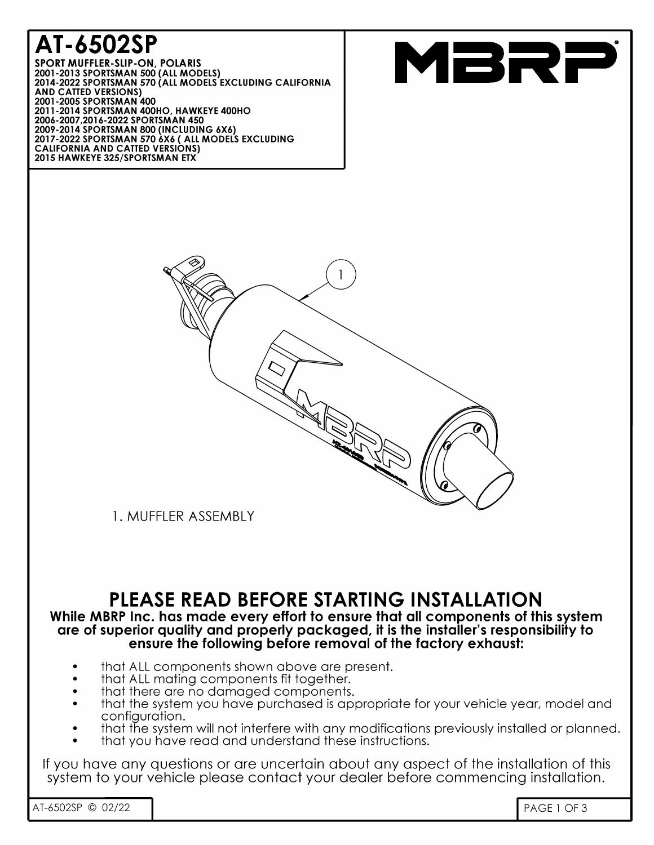# AT-6502SP

SPORT MUFFLER-SLIP-ON, POLARIS<br>2001-2013 SPORTSMAN 500 (ALL MODELS)<br>2014-2022 SPORTSMAN 570 (ALL MODELS EXCLUDING CALIFORNIA **AND CATTED VERSIONS)** 2001-2005 SPORTSMAN 400 2011-2003 STORTSMAN 400HO, HAWKEYE 400HO<br>2006-2007,2016-2022 SPORTSMAN 450<br>2009-2014 SPORTSMAN 800 (INCLUDING 6X6) 2017-2022 SPORTSMAN 570 6X6 ( ALL MODELS EXCLUDING **CALIFORNIA AND CATTED VERSIONS)**<br>CALIFORNIA AND CATTED VERSIONS)<br>2015 HAWKEYE 325/SPORTSMAN ETX





1. MUFFLER ASSEMBLY

# PLEASE READ BEFORE STARTING INSTALLATION

#### While MBRP Inc. has made every effort to ensure that all components of this system are of superior auality and properly packaged, it is the installer's responsibility to ensure the following before removal of the factory exhaust:

- that ALL components shown above are present.
- that ALL mating components fit together.
- that there are no damaged components.
- that the system you have purchased is appropriate for your vehicle year, model and configuration.
- that the system will not interfere with any modifications previously installed or planned.
- that you have read and understand these instructions.

If you have any questions or are uncertain about any aspect of the installation of this system to your vehicle please contact your dealer before commencing installation.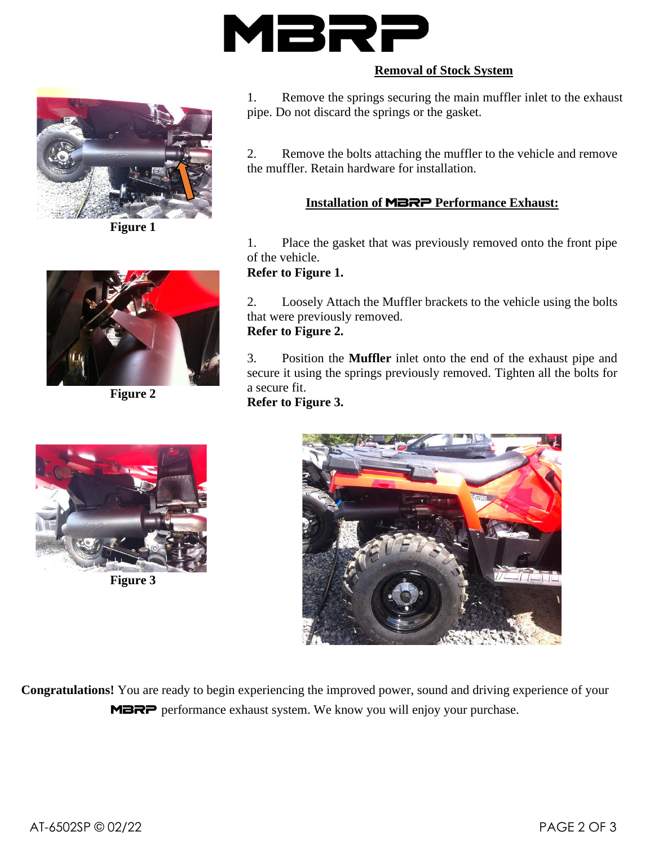

#### **Removal of Stock System**



**Figure 1**



**Figure 2**



**Figure 3**

1. Remove the springs securing the main muffler inlet to the exhaust pipe. Do not discard the springs or the gasket.

2. Remove the bolts attaching the muffler to the vehicle and remove the muffler. Retain hardware for installation.

### **Installation of** MBRP **Performance Exhaust:**

1. Place the gasket that was previously removed onto the front pipe of the vehicle.

#### **Refer to Figure 1.**

2. Loosely Attach the Muffler brackets to the vehicle using the bolts that were previously removed. **Refer to Figure 2.**

# 3. Position the **Muffler** inlet onto the end of the exhaust pipe and secure it using the springs previously removed. Tighten all the bolts for a secure fit.

**Refer to Figure 3.**



**Congratulations!** You are ready to begin experiencing the improved power, sound and driving experience of your MBRP performance exhaust system. We know you will enjoy your purchase.